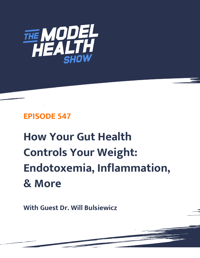

# **EPISODE 547**

# **How Your Gut Health Controls Your Weight: Endotoxemia, Inflammation, & More**

**With Guest Dr. Will Bulsiewicz**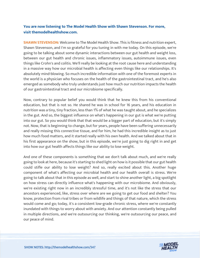# **You are now listening to The Model Health Show with Shawn Stevenson. For more, visit themodelhealthshow.com.**

**SHAWN STEVENSON:** Welcome to The Model Health Show. This is fitness and nutrition expert, Shawn Stevenson, and I'm so grateful for you tuning in with me today. On this episode, we're going to be talking about some dynamic interactions between our gut health and weight loss, between our gut health and chronic issues, inflammatory issues, autoimmune issues, even things like Crohn's and colitis. We'll really be looking at the root cause here and understanding in a massive way how our microbial health is affecting even things like our relationships. It's absolutely mind-blowing. So much incredible information with one of the foremost experts in the world is a physician who focuses on the health of the gastrointestinal tract, and he's also emerged as somebody who truly understands just how much our nutrition impacts the health of our gastrointestinal tract and our microbiome specifically.

Now, contrary to popular belief you would think that he knew this from his conventional education, but that is not so. He shared he was in school for 16 years, and his education in nutrition was a tiny, tiny fraction, less than 1% of what he was taught about, and he specializes in the gut. And so, the biggest influence on what's happening in our gut is what we're putting into our gut. So you would think that that would be a bigger part of education, but it's simply not. Now, that is beginning to change, but for years, people have been suffering unnecessarily and really missing this connective tissue, and for him, he had this incredible insight as to just how much food matters, and it started really with his own health. And we talked about that in his first appearance on the show, but in this episode, we're just going to dig right in and get into how our gut health affects things like our ability to lose weight.

And one of these components is something that we don't talk about much, and we're really going to look at here, because it's starting to shed light on how is it possible that our gut health could stifle our ability to lose weight? And so, really excited about this. Another huge component of what's affecting our microbial health and our health overall is stress. We're going to talk about that in this episode as well, and start to shine another light, a big spotlight on how stress can directly influence what's happening with our microbiome. And obviously, we're existing right now in an incredibly stressful time, and it's not like the stress that our ancestors experienced, like, stress over where are we going to get our food and shelter? You know, protection from rival tribes or from wildlife and things of that nature, which the stress would come and go; today, it's a consistent low-grade chronic stress, where we're constantly inundated with things to worry about with anxiety. And our attention constantly being pulled in multiple directions, and we're outsourcing our thinking, we're outsourcing our peace, and our peace of mind.

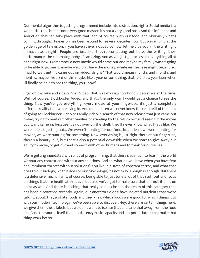Our mental algorithm is getting programmed include into distraction, right? Social media is a wonderful tool, but it's not a very good master, it's not a very good boss. And the influence and seduction that can take place with that, and of course, with our food, and obviously what's coming through... Television has been around for several decades now. But we're living at the golden age of television, if you haven't ever noticed by now, let me clue you in, the writing is immaculate, alright? People are just like, they're competing out here, the writing, their performance, the cinematography it's amazing. And as you just got access to everything all at once right now. I remember a new movie would come out and maybe my family wasn't going to be able to go see it, maybe we didn't have the money, whatever the case might be, and so, I had to wait until it came out on video, alright? That would mean months and months and months, maybe like six months, maybe like a year or something, that felt like a year later when I'll finally be able to see the thing, you know?

I get on my bike and ride to Star Video, that was my neighborhood video store at the time. Well, of course, Blockbuster Video, and that's the only way I would get a chance to see the thing. Now you've got everything, every movie at your fingertips, it's just a completely different reality that we're living in. And our children will never know the real thrill of the hunt of going to Blockbuster Video or Family Video in search of that new release that just came out today, trying to beat out other families or standing by the return box and seeing if the movie you want came in, because it's not over on the shelf, they'll never know what that's like. We were at least getting out... We weren't hunting for our food, but at least we were hunting for movies, we were hunting for something. Now, everything is just right there at our fingertips, there's a beauty in it, but there's also a potential downside when we start to give away our ability to move, to get out and connect with other humans and to think for ourselves.

We're getting inundated with a lot of programming, that there's so much to fear in the world without any context and without any solutions. And so, what do you have when you have fear and imminent threats without solutions? You live in a state of constant terror, and what that does to our biology, what it does to our psychology, it's not okay. Enough is enough. But there is a defensive mechanisms, of course, being able to just tune a lot of that stuff out and focus on things that are health affirmative, but also we've got to make sure that our nutrition is on point as well. And there is nothing that really comes close in the realm of this category that has been discovered recently. Again, our ancestors didn't have isolated nutrients that we're talking about, they just ate foods and they knew which foods were good for which things. But with our modern technology, we've been able to discover, Hey, there are certain things here, we give them these labels, but we don't want to isolate that and take that away from the food itself and the source itself that has the enzymatic capacity and bio-potentiators that make that thing work better.

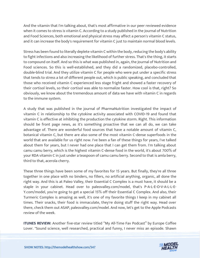And the vitamin that I'm talking about, that's most affirmative in our peer reviewed evidence when it comes to stress is vitamin C. According to a study published in the Journal of Nutrition and Food Sciences, both emotional and physical stress may affect a person's vitamin C status, and it can increase the body's requirement for vitamin C just to maintain normal blood levels.

Stress has been found to literally deplete vitamin C within the body, reducing the body's ability to fight infections and also increasing the likelihood of further stress. That's the thing, it starts to compound on itself. And so this is what was published in, again, the Journal of Nutrition and Food sciences. So this is well-established, and they did a randomized, placebo-controlled, double-blind trial. And they utilize vitamin C for people who were put under a specific stress that tends to stress a lot of different people out, which is public speaking, and concluded that those who received vitamin C experienced less stage fright and showed a faster recovery of their cortisol levels, so their cortisol was able to normalize faster. How cool is that, right? So obviously, we know about the tremendous amount of data we have with vitamin C in regards to the immune system.

A study that was published in the journal of PharmaNutrition investigated the impact of vitamin C in relationship to the cytokine activity associated with COVID-19 and found that vitamin C is effective at inhibiting the production the cytokine storm. Right. This information should be front page news, as it's something proactive that we can all do, we can take advantage of. There are wonderful food sources that have a notable amount of vitamin C, botanical vitamin C, but there are also some of the most vitamin C-dense superfoods in the world that are available for us right now. I've been a fan of these things for years, I've talked about them for years, but I never had one place that I can get them from. I'm talking about camu camu berry, which is the highest vitamin C-dense food in the world, it's about 700% of your RDA vitamin C in just under a teaspoon of camu camu berry. Second to that is amla berry, third to that, acerola cherry.

These three things have been some of my favorites for 15 years. But finally, they're all three together in one place with no binders, no fillers, no artificial anything, organic, all done the right way. And this is at Paleo Valley, their Essential C Complex is a must have, it should be a staple in your cabinet. Head over to paleovalley.com/model, that's P-A-L-E-O-V-A-L-L-E-Y.com/model, you're going to get a special 15% off their Essential C Complex. And also, their Turmeric Complex is amazing as well, it's one of my favorite things I keep in my cabinet all times. Their snacks, their food is immaculate, they're doing stuff the right way. Head over there, check them out ASAP, paleovalley.com/model. And now, let's get to the Apple Podcasts review of the week

**ITUNES REVIEW:** Another five-star review titled "My All-Time Fav Podcast" by Europe Coffee [Lover. "Sound science, well researched, practical and funny, I never miss an episode. Shawn](https://themodelhealthshow.com/dr-will-bulsiewicz-gut-health/)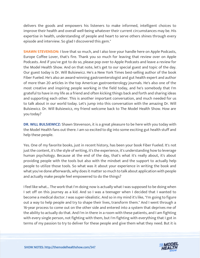delivers the goods and empowers his listeners to make informed, intelligent choices to improve their health and overall well-being whatever their current circumstances may be. His expertise in health, understanding of people and heart to serve others shines through every episode and interview. So glad I discovered this gem."

**SHAWN STEVENSON:** I love that so much, and I also love your handle here on Apple Podcasts, Europe Coffee Lover, that's fire. Thank you so much for leaving that review over on Apple Podcasts. And if you've got to do so, please pop over to Apple Podcasts and leave a review for the Model Health Show. And on that note, let's get to our special guest and topic of the day. Our guest today is Dr. Will Bulsiewicz. He's a New York Times best-selling author of the book Fiber Fueled. He's also an award-winning gastroenterologist and gut health expert and author of more than 20 articles in the top American gastroenterology journals. He's also one of the most creative and inspiring people working in the field today, and he's somebody that I'm grateful to have in my life as a friend and often kicking things back and forth and sharing ideas and supporting each other. This is another important conversation, and much needed for us to talk about in our world today. Let's jump into this conversation with the amazing Dr. Will Bulsiewicz. Dr. Will Bulsiewicz, my friend welcome back to The Model Health Show. How are you today?

**DR. WILL BULSIEWICZ:** Shawn Stevenson, it is a great pleasure to be here with you today with the Model Health fans out there. I am so excited to dig into some exciting gut health stuff and help these people.

Yes. One of my favorite books, just in recent history, has been your book Fiber Fueled. It's not just the content, it's the style of writing, it's the experience, it's understanding how to leverage human psychology. Because at the end of the day, that's what it's really about, it's about providing people with the tools but also with the mindset and the support to actually help people to utilize those tools. So what was it about your experience in writing the book and what you've done afterwards, why does it matter so much to talk about application with people and actually make people feel empowered to do the things?

I feel like what... The work that I'm doing now is actually what I was supposed to be doing when I set off on this journey as a kid. And so I was a teenager when I decided that I wanted to become a medical doctor. I was super-idealistic. And so in my mind it's like, "I'm going to figure out a way to help people and try to shape their lives, transform them." And I went through a 16-year process to come out on the other side and entered into a system that deprives me of the ability to actually do that. And I'm in there in a room with these patients, and I am fighting with every single person, not fighting with them, but I'm fighting with everything that I got in terms of my passion to try to deliver for these people and give them what they need. But it is

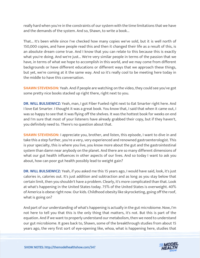really hard when you're in the constraints of our system with the time limitations that we have and the demands of the system. And so, Shawn, to write a book...

That... It's been while since I've checked how many copies we've sold, but it is well north of 150,000 copies, and have people read this and then it changed their life as a result of this, is an absolute dream come true. And I know that you can relate to this because this is exactly what you're doing. And we're just... We're very similar people in terms of the passion that we have, in terms of what we hope to accomplish in this world, and we may come from different backgrounds or have different educations or different ways that we approach these things, but yet, we're coming at it the same way. And so it's really cool to be meeting here today in the middle to have this conversation.

**SHAWN STEVENSON:** Yeah. And if people are watching on the video, they could see you've got some pretty nice books stacked up right there, right next to you.

**DR. WILL BULSIEWICZ:** Yeah, man, I got Fiber Fueled right next to Eat Smarter right here. And I love Eat Smarter. I thought it was a great book. You know that, I said that when it came out, I was so happy to see that it was flying off the shelves. It was the hottest book for weeks on end and I'm sure that most of your listeners have already grabbed their copy, but if they haven't, you definitely need to. There's no question about that.

**SHAWN STEVENSON:** I appreciate you, brother, and listen, this episode, I want to dive in and take this a step further, you're a very, very experienced and renowned gastroenterologist. This is your specialty, this is where you live, you know more about the gut and the gastrointestinal system than damn near anybody on the planet. And there are so many different dimensions of what our gut health influences in other aspects of our lives. And so today I want to ask you about, how can poor gut health possibly lead to weight gain?

**DR. WILL BULSIEWICZ:** Yeah, if you asked me this 15 years ago, I would have said, look, it's just calories in, calories out. It's just addition and subtraction and as long as you stay below that certain limit, then you shouldn't have a problem. Clearly, it's more complicated than that. Look at what's happening in the United States today. 75% of the United States is overweight. 40% of America is obese right now. Our kids. Childhood obesity like skyrocketing, going off the roof, what is going on?

And part of our understanding of what's happening is actually in the gut microbiome. Now, I'm not here to tell you that this is the only thing that matters, it's not. But this is part of the equation. And if we want to properly understand our metabolism, then we need to understand our gut microbiome. It goes back to, Shawn, some of the breakthrough studies from about 15 [years ago, the very first sort of eye-opening like, whoa, what is happening here, studies that](https://themodelhealthshow.com/dr-will-bulsiewicz-gut-health/)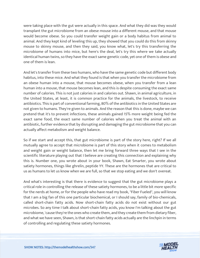were taking place with the gut were actually in this space. And what they did was they would transplant the gut microbiome from an obese mouse into a different mouse, and that mouse would become obese. So you could transfer weight gain or a body habitus from animal to animal. And they kept kind of leveling this up, they showed that you could do this from skinny mouse to skinny mouse, and then they said, you know what, let's try this transferring the microbiome of humans into mice, but here's the deal, let's try this where we take actually identical human twins, so they have the exact same genetic code, yet one of them is obese and one of them is lean.

And let's transfer from these two humans, who have the same genetic code but different body habitus, into these mice. And what they found is that when you transfer the microbiome from an obese human into a mouse, that mouse becomes obese, when you transfer from a lean human into a mouse, that mouse becomes lean, and this is despite consuming the exact same number of calories. This is not just calories in and calories out. Shawn, in animal agriculture, in the United States, at least, it is common practice for the animals, the livestock, to receive antibiotics. This is part of conventional farming, 80% of the antibiotics in the United States are not given to humans. They're given to animals. And the reason that this is done, maybe we can pretend that it's to prevent infections, these animals gained 15% more weight being fed the exact same food, the exact same number of calories when you treat the animal with an antibiotic, further evidence that by disrupting and damaging the gut microbiome that you can actually affect metabolism and weight balance.

So if we start and accept this, that gut microbiome is part of the story here, right? If we all mutually agree to accept that microbiome is part of this story when it comes to metabolism and weight gain or weight balance, then let me bring forward three ways that I see in the scientific literature playing out that I believe are creating this connection and explaining why this is. Number one, you wrote about in your book, Shawn, Eat Smarter, you wrote about satiety hormones, things like ghrelin, peptide YY. These are the hormones that are critical to us as humans to let us know when we are full, so that we stop eating and we don't overeat.

And what's interesting is that there is evidence to suggest that the gut microbiome plays a critical role in controlling the release of these satiety hormones, to be a little bit more specific for the nerds at home, or for the people who have read my book, "Fiber Fueled", you will know that I am a big fan of this one particular biochemical, or I should say, family of bio-chemicals, called short-chain fatty acids. Now short-chain fatty acids do not exist without our gut microbes. So any time I talk about short-chain fatty acids, you know I'm talking about the gut microbiome, 'cause they're the ones who create them, and they create them from dietary fiber, and what we have seen, Shawn, is that short-chain fatty acids actually are the linchpin in terms of controlling and regulating these satiety hormones.

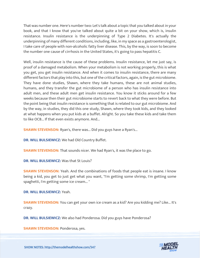That was number one. Here's number two: Let's talk about a topic that you talked about in your book, and that I know that you've talked about quite a bit on your show, which is, insulin resistance. Insulin resistance is the underpinning of Type 2 Diabetes. It's actually the underpinning of many different conditions, including, like, in my space as a gastroenterologist, I take care of people with non-alcoholic fatty liver disease. This, by the way, is soon to become the number one cause of cirrhosis in the United States, it's going to pass hepatitis C.

Well, insulin resistance is the cause of these problems. Insulin resistance, let me just say, is proof of a damaged metabolism. When your metabolism is not working properly, this is what you get, you get insulin resistance. And when it comes to insulin resistance, there are many different factors that play into this, but one of the critical factors, again, is the gut microbiome. They have done studies, Shawn, where they take humans, these are not animal studies, humans, and they transfer the gut microbiome of a person who has insulin resistance into adult men, and these adult men get insulin resistance. You know it sticks around for a few weeks because then their gut microbiome starts to revert back to what they were before. But the point being that insulin resistance is something that is related to our gut microbiome. And by the way, in studies, they did this one study, Shawn, where they took kids, and they looked at what happens when you put kids at a buffet. Alright. So you take these kids and take them to like OCB... If that even exists anymore. And...

**SHAWN STEVENSON:** Ryan's, there was... Did you guys have a Ryan's...

**DR. WILL BULSIEWICZ:** We had Old Country Buffet.

**SHAWN STEVENSON:** That sounds nicer. We had Ryan's, it was the place to go.

**DR. WILL BULSIEWICZ:** Was that St Louis?

**SHAWN STEVENSON:** Yeah. And the combinations of foods that people eat is insane. I know being a kid, you get to just get what you want, "I'm getting some shrimp, I'm getting some spaghetti, I'm getting some ice cream... "

**DR. WILL BULSIEWICZ:** Yeah.

**SHAWN STEVENSON:** You can get your own ice cream as a kid? Are you kidding me? Like... It's crazy.

**DR. WILL BULSIEWICZ:** We also had Ponderosa. Did you guys have Ponderosa?

**[SHAWN STEVENSON:](https://themodelhealthshow.com/dr-will-bulsiewicz-gut-health/) Ponderosa, yes.** 

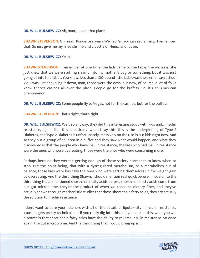**DR. WILL BULSIEWICZ:** Ah, man, I loved that place.

**SHAWN STEVENSON:** Oh, Yeah. Ponderosa, yeah. We had "all you can eat" shrimp. I remember that. So just give me my fried shrimp and a bottle of Heinz, and it's on.

#### **DR. WILL BULSIEWICZ:** Yeah.

**SHAWN STEVENSON:** I remember at one time, the lady came to the table, the waitress, she just knew that we were stuffing shrimp into my mother's bag or something, but it was just going all into this little... You know, less than a 100-pound little kid, it was the elementary school kid, I was just shoveling it down, man, those were the days, but now, of course, a lot of folks know there's casinos all over the place. People go for the buffets. So, it's an American phenomenon.

**DR. WILL BULSIEWICZ:** Some people fly to Vegas, not for the casinos, but for the buffets.

**SHAWN STEVENSON:** That's right, that's right.

**DR. WILL BULSIEWICZ:** Well, so anyway, they did this interesting study with kids and... Insulin resistance, again, like, this is basically, when I say this, this is the underpinning of Type 2 Diabetes, and Type 2 Diabetes is unfortunately, massively on the rise in our kids right now. And so they put a group of children in a buffet and they saw what would happen, and what they discovered is that the people who have insulin resistance, the kids who had insulin resistance were the ones who were overeating, those were the ones who were consuming more.

Perhaps because they weren't getting enough of those satiety hormones to know when to stop. But the point being, that with a dysregulated metabolism, or a metabolism out of balance, these kids were basically the ones who were setting themselves up for weight-gain by overeating. And the third thing Shawn, I should mention real quick before I move on to the third thing that, I mentioned short-chain fatty acids before, short-chain fatty acids come from our gut microbiome, they're the product of when we consume dietary fiber, and they've actually shown through mechanistic studies that these short chain fatty acids, they are actually the solution to insulin resistance.

I don't want to bore your listeners with all of the details of lipotoxicity in insulin resistance, 'cause it gets pretty technical, but if you really dig into this and you look at this, what you will discover is that short chain fatty acids have the ability to reverse insulin resistance. So once again, the gut microbiome. And the third thing that I would bring up is...

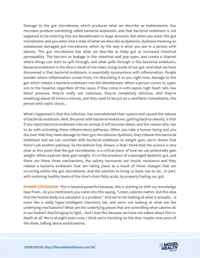Damage to the gut microbiome, which produces what we describe as endotoxemia. Our microbes produce something called bacterial endotoxin, and that bacterial endotoxin is not supposed to be entering into our bloodstream in large amounts. But when you enter the gut microbiome, and you enter into a state of what we describe as dysbiosis, dysbiosis meaning an unbalanced damaged gut microbiome, which by the way is what you see in a person with obesity. This gut microbiome has what we describe as leaky gut or increased intestinal permeability. The barriers to leakage in the intestinal wall pop open, and create a channel where things can start to spill through, and what spills through is this bacterial endotoxin, bacterial endotoxin is the direct result of microbes, living inside of our gut. And what we have discovered is that bacterial endotoxin, is essentially synonymous with inflammation. People wonder where inflammation comes from, I'm describing it to you right now, damage to the gut which release a bacteria endotoxin into the bloodstream. When a person comes in, super sick to the hospital, regardless of the cause, if they come in with sepsis, high heart rate, low blood pressure, they're really not conscious, they're completely delirious. And they're breathing about 30 times a minute, and they need to be put on a ventilator immediately, this person with septic shock...

What's happened is that this infection, has overwhelmed their system and caused the release of bacterial endotoxin. Well, the point with bacterial endotoxin, getting back to obesity, is that if you inject bacterial endotoxin into an animal, it will become obese, and the reason why, has to do with activating these inflammatory pathways. When you take a human being and you discover that they have damage to their gut microbiome dysbiosis, they release this bacterial endotoxin and we can correlate with bacterial endotoxin to weight gain, we're shown that there's yet another pathway. So the bottom line, Shawn, is that I think that the science is very clear at this point that the gut microbiome, is a critical piece of how we can potentially gain weight. When a person does gain weight, it's in the presence of a damaged dysbiotic gut, and there are these three mechanisms, the satiety hormones are insulin resistance and they release a bacteria endotoxin that are taking place as a result of these changes that are occurring within the gut microbiome. And the solution to bring us back, has to do... In part, with restoring healthy levels of the short-chain fatty acids, by properly fueling our gut.

**SHAWN STEVENSON:** This is beyond powerful because, this is starting to shift our knowledge base from... As you mentioned, you came into this saying, "Listen, calories matter, but this idea that the human body is a calculator is a problem." And we're not looking at what is actually... Is more like a really hyper-intelligent chemistry lab, and we're not looking at what are the underlying mechanisms? What are the underlying pieces that are controlling what calories do in our bodies? And bringing to light... And I love this because we have not talked about this indepth at all. We're at eight years now, I think we're knocking on the door maybe nine years of the show, talking about endotoxemia.

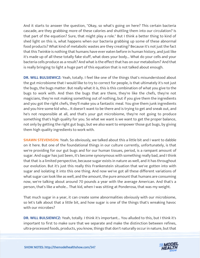And it starts to answer the question, "Okay, so what's going on here? This certain bacteria cascade, are they grabbing more of these calories and shuttling them into our circulation? Is that part of the equation? Sure, that might play a role." But I think a better thing to kind of shed light on this is, what happens when our bacteria grabbing up some of these abnormal food products? What kind of metabolic wastes are they creating? Because it's not just the fact that this Twinkie is nothing that humans have ever eaten before in human history, and just like it's made up of all these totally fake stuff, what does your body... What do your cells and your bacteria cells produce as a result? And what is the effect that has on our metabolism? And that is really bringing to light a huge part of this equation that is not talked about enough.

**DR. WILL BULSIEWICZ:** Yeah, totally. I feel like one of the things that's misunderstood about the gut microbiome that I would like to try to correct for people, is that ultimately it's not just the bugs, the bugs matter. But really what it is, this is this combination of what you give to the bugs to work with. And then the bugs that are there, they're like the chefs, they're not magicians, they're not making something out of nothing, but if you give them the ingredients and you got the right chefs, they'll make you a fantastic meal. You give them junk ingredients and you hire some kid who... It doesn't want to be there and is trying to get and sneak out, and he's not responsible at all, and that's your gut microbiome, they're not going to produce something that's high quality for you. So what we want is we want to get the proper balance, not only by getting the right gut bugs, but we also want to empower those gut bugs, by giving them high quality ingredients to work with.

**SHAWN STEVENSON:** Yeah. So obviously, we talked about this a little bit and I want to dabble on it here. But one of the foundational things in our culture currently, unfortunately, is that we're providing for our gut bugs and for our human tissues, period, is a rampant amount of sugar. And sugar has just been, it's become synonymous with something really bad, and I think that that is a limited perspective, because sugar exists in nature as well, and it has throughout our evolution. But it's just this really this Frankenstein situation that we've gotten into with sugar and isolating it into this one thing. And now we've got all these different variations of what sugar can look like as well, and the amount, the pure amount that humans are consuming now, we're talking about around 70 pounds a year with the average American. And that's a person, that's like a whole... That kid, when I was sitting at Ponderosa, that was my weight.

That much sugar in a year, it can create some abnormalities obviously with our microbiome, so let's talk about that a little bit, and how sugar is one of the things that's wreaking havoc with our microbes?

**DR. WILL BULSIEWICZ:** Yeah, totally. I think it's important... You alluded to this, but I think it's important to first to make sure that we separate and make the distinction between refines, ultra-processed [foods, products, you know, things that don](https://themodelhealthshow.com/dr-will-bulsiewicz-gut-health/)'[t naturally occur in nature, but that](https://themodelhealthshow.com/dr-will-bulsiewicz-gut-health/)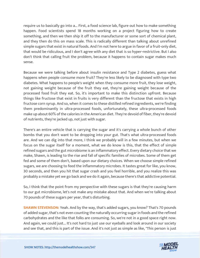require us to basically go into a... First, a food science lab, figure out how to make something happen. Food scientists spend 18 months working on a project figuring how to create something, and then we then ship it off to the manufacturer or some sort of chemical plant, and they then do this on mass scale. This is radically different than talking about unrefined simple sugars that exist in natural foods. And I'm not here to argue in favor of a fruit-only diet, that would be ridiculous, and I don't agree with any diet that is so hyper-restrictive. But I also don't think that calling fruit the problem, because it happens to contain sugar makes much sense.

Because we were talking before about insulin resistance and Type 2 diabetes, guess what happens when people consume more fruit? They're less likely to be diagnosed with type two diabetes. What happens to people's weight when they consume more fruit, they lose weight, not gaining weight because of the fruit they eat, they're gaining weight because of the processed food fruit they eat. So, it's important to make this distinction upfront. Because things like fructose that exist in fruits is very different than the fructose that exists in high fructose corn syrup. And so, when it comes to these distilled refined ingredients, we're finding them predominantly in ultra-processed foods, unfortunately, these ultra-processed foods make up about 60% of the calories in the American diet. They're devoid of fiber, they're devoid of nutrients, they're jacked up, not just with sugar.

There's an entire vehicle that is carrying the sugar and it's carrying a whole bunch of other bombs that you don't want to be dropping into your gut. That's what ultra-processed foods are. And we can dig into that more, I think we probably will in a few minutes, but when we focus on the sugar itself for a moment, what we do know is this, that the effect of simple refined sugars and the gut microbiome is an inflammatory effect. Every dietary choice that we make, Shawn, is leading to the rise and fall of specific families of microbes. Some of them get fed and some of them don't, based upon our dietary choices. When we choose simple refined sugars, we are choosing to feed the inflammatory microbes. It tastes great for like, you know, 30 seconds, and then you hit that sugar crash and you feel horrible, and you realize this was probably a mistake yet we go back and we do it again, because there's that addictive potential.

So, I think that the point from my perspective with these sugars is that they're causing harm to our gut microbiome, let's not make any mistake about that. And when we're talking about 70 pounds of these sugars per year, that's disturbing.

**SHAWN STEVENSON:** Yeah. And by the way, that's added sugars, you know? That's 70 pounds of added sugar, that's not even counting the naturally occurring sugar in foods and the refined carbohydrates and the like that folks are consuming. So, we're not in a good space right now. And again, we could just... It's not hard to just use our eyeballs and look around in our society [and see that, and this is part of the issue. And it](https://themodelhealthshow.com/dr-will-bulsiewicz-gut-health/)'[s not just as simple as like, "This person](https://themodelhealthshow.com/dr-will-bulsiewicz-gut-health/) is just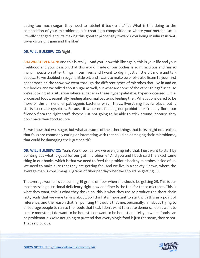eating too much sugar, they need to ratchet it back a bit," it's What is this doing to the composition of your microbiome, is it creating a composition to where your metabolism is literally changed, and it's making this greater propensity towards you being insulin resistant, towards weight gain and the like?

# **DR. WILL BULSIEWICZ:** Right.

**SHAWN STEVENSON:** And this is really... And you know this like again, this is your life and your livelihood and your passion, that this world inside of our bodies is so miraculous and has so many impacts on other things in our lives, and I want to dig in just a little bit more and talk about... So we dabbled in sugar a little bit, and I want to make sure folks also listen to your first appearance on the show, we went through the different types of microbes that live in and on our bodies, and we talked about sugar as well, but what are some of the other things? Because we're looking at a situation where sugar is in these hyper-palatable, hyper-processed, ultraprocessed foods, essentially feeding abnormal bacteria, feeding the... What's considered to be more of the unfriendlier pathogenic bacteria, which they... Everything has its place, but it starts to create dysbiosis. Because if we're not feeding our probiotic or friendly flora, our friendly flora the right stuff, they're just not going to be able to stick around, because they don't have their food source.

So we know that was sugar, but what are some of the other things that folks might not realize, that folks are commonly eating or interacting with that could be damaging their microbiome, that could be damaging their gut health?

**DR. WILL BULSIEWICZ:** Yeah. You know, before we even jump into that, I just want to start by pointing out what is good for our gut microbiome? And you and I both said the exact same thing in our books, which is that we need to feed the probiotic healthy microbes inside of us. We need to make sure that they are getting fed. And we live in a society, Shawn, where the average man is consuming 18 grams of fiber per day when we should be getting 38.

The average woman is consuming 15 grams of fiber when she should be getting 25. This is our most pressing nutritional deficiency right now and fiber is the fuel for these microbes. This is what they want, this is what they thrive on, this is what they use to produce the short-chain fatty acids that we were talking about. So I think it's important to start with this as a point of reference, and the reason that I'm pointing this out is that me, personally, I'm about trying to encourage people to run to the foods that heal. I don't want to create demons, I don't want to create monsters, I do want to be honest. I do want to be honest and tell you which foods can be problematic. We're not going to pretend that every single food is just the same, they're not. That's ridiculous.

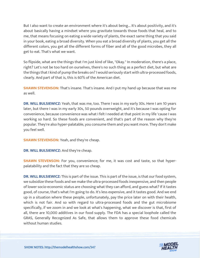But I also want to create an environment where it's about being... It's about positivity, and it's about basically having a mindset where you gravitate towards those foods that heal, and to me, that means focusing on eating a wide variety of plants, the exact same thing that you said in your book, eating a broad diversity. When you eat a broad diversity of plants, you get all the different colors, you get all the different forms of fiber and all of the good microbes, they all get to eat. That's what we want.

So flipside, what are the things that I'm just kind of like, "Okay." In moderation, there's a place, right? Let's not be too hard on ourselves, there's no such thing as a perfect diet, but what are the things that I kind of pump the breaks on? I would seriously start with ultra-processed foods, clearly. And part of that is, this is 60% of the American diet.

**SHAWN STEVENSON:** That's insane. That's insane. And I put my hand up because that was me as well.

**DR. WILL BULSIEWICZ:** Yeah, that was me, too. There I was in my early 30s. Here I am 10 years later, but there I was in my early 30s, 50 pounds overweight, and it's because I was opting for convenience, because convenience was what I felt I needed at that point in my life 'cause I was working so hard. So these foods are convenient, and that's part of the reason why they're popular. They're also hyper-palatable, you consume them and you want more. They don't make you feel well.

**SHAWN STEVENSON:** Yeah, and they're cheap.

**DR. WILL BULSIEWICZ:** And they're cheap.

**SHAWN STEVENSON:** For you, convenience; for me, it was cost and taste, so that hyperpalatability and the fact that they are so cheap.

**DR. WILL BULSIEWICZ:** This is part of the issue. This is part of the issue, is that our food system, we subsidize these foods and we make the ultra-processed foods inexpensive, and then people of lower socio-economic status are choosing what they can afford, and guess what? If it tastes good, of course, that's what I'm going to do. It's less expensive, and it tastes good. And we end up in a situation where these people, unfortunately, pay the price later on with their health, which is not fair. And so with regard to ultra-processed foods and the gut microbiome specifically, if we zoom in and we look at what's happening, what we discover is that, first of all, there are 10,000 additives in our food supply. The FDA has a special loophole called the GRAS, Generally Recognized As Safe, that allows them to approve these food chemicals without human studies.

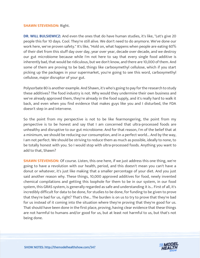#### **SHAWN STEVENSON:** Right.

**DR. WILL BULSIEWICZ:** And even the ones that do have human studies, it's like, "Let's give 20 people this for 10 days. Cool. They're still alive. We don't need to do anymore. We've done our work here, we've proven safety." It's like, "Hold on, what happens when people are eating 60% of their diet from this stuff day over day, year over year, decade over decade, and we destroy our gut microbiome because while I'm not here to say that every single food additive is inherently bad, that would be ridiculous, but we don't know, and there are 10,000 of them. And some of them are proving to be bad, things like carboxymethyl cellulose, which if you start picking up the packages in your supermarket, you're going to see this word, carboxymethyl cellulose, major disruptor of your gut.

Polysorbate 80 is another example. And Shawn, it's who's going to pay for the research to study these additives? The food industry is not. Why would they undermine their own business and we've already approved them, they're already in the food supply, and it's really hard to walk it back, and even when you find evidence that makes guys like you and I disturbed, the FDA doesn't step in and intervene.

So the point from my perspective is not to be like fearmongering, the point from my perspective is to be honest and say that I am concerned that ultra-processed foods are unhealthy and disruptive to our gut microbiome. And for that reason, I'm of the belief that at a minimum, we should be reducing our consumption, and in a perfect world... And by the way, I am not perfect. We should be striving to reduce them as much as possible, ideally to none, to be totally honest with you. So I would stop with ultra-processed foods. Anything you want to add to that, Shawn?

**SHAWN STEVENSON:** Of course. Listen, this one here, if we just address this one thing, we're going to have a revolution with our health, period, and this doesn't mean you can't have a donut or whatever, it's just like making that a smaller percentage of your diet. And you just said another reason why. These things, 10,000 approved additives for food, newly invented chemical compilations and getting this loophole for them to be in our system, in our food system, this GRAS system, is generally regarded as safe and understanding it is... First of all, it's incredibly difficult for data to be done, for studies to be done, for funding to be given to prove that they're bad for us, right? That's the... The burden is on us to try to prove that they're bad for us instead of it coming into the situation where they're proving that they're good for us. That should have been done in the first place, proving, having clear evidence that these things are not harmful to humans and/or good for us, but at least not harmful to us, but that's not being done.

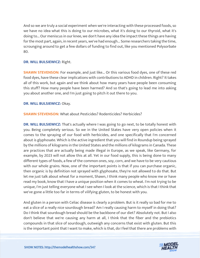And so we are truly a social experiment when we're interacting with these processed foods, so we have no idea what this is doing to our microbes, what it's doing to our thyroid, what it's doing to... Our meniscus in our knee, we don't have any idea the impact these things are having for the most part, again, in recent years, we've had enough... Some researchers taking the time, scrounging around to get a few dollars of funding to find out, like you mentioned Polysorbate 80.

# **DR. WILL BULSIEWICZ:** Right.

**SHAWN STEVENSON:** For example, and just like... Or this various food dyes, one of these red food dyes, have these clear implications with contributions to ADHD in children. Right? It takes all of this work, but again and we think about how many years have people been consuming this stuff? How many people have been harmed? And so that's going to lead me into asking you about another one, and I'm just going to pitch it out there to you.

# **DR. WILL BULSIEWICZ:** Okay.

**SHAWN STEVENSON:** What about Pesticides? Rodenticides? Herbicides?

**DR. WILL BULSIEWICZ:** That's actually where I was going to go next, to be totally honest with you. Being completely serious. So we in the United States have very open policies when it comes to the spraying of our food with herbicides, and one specifically that I'm concerned about is glyphosate. Which is the active ingredient that you will find in Roundup being sprayed by the millions of kilograms in the United States and the millions of kilograms in Canada. These are practices that are actually being made illegal in Europe, as we speak, like Germany, for example, by 2023 will not allow this at all. Yet in our food supply, this is being done to many different types of foods, a few of the common ones, soy, corn, and we have to be very cautious with our whole grains. Now, one of the important points is that if you can purchase organic, then organic is by definition not sprayed with glyphosate, they're not allowed to do that. But let me just talk about wheat for a moment, Shawn, I think many people who know me or have read my book, know that I have a unique position when it comes to wheat. I'm not trying to be unique, I'm just telling everyone what I see when I look at the science, which is that I think that we've gone a little too far in terms of vilifying gluten, to be honest with you.

And gluten in a person with Celiac disease is clearly a problem. But is it really so bad for me to eat a slice of a really nice sourdough bread? Am I really causing harm to myself in doing that? Do I think that sourdough bread should be the backbone of our diet? Absolutely not. But I also don't believe that we're causing any harm at all, I think that the fiber and the prebiotics compounds in that slice of sourdough, outweigh any concerns that exist with gluten. But this [is the important point that I want to make, which is that, do I feel that there are problems with](https://themodelhealthshow.com/dr-will-bulsiewicz-gut-health/)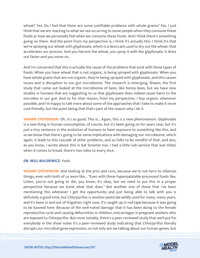wheat? Yes. Do I feel that there are some justifiable problems with whole grains? Yes. I just think that we are reacting to what we see occurring to some people when they consume these foods or how we personally feel when we consume these foods. And I think there's something going on there. And the point from my perspective is, I think it's actually this. I think it's that we're spraying our wheat with glyphosate, which is a desiccant used to dry out the wheat, that accelerates our process. And you harvest the wheat, you spray it with the glyphosate, it dries out faster and you move on.

And I'm concerned that this is actually the cause of the problems that exist with these types of foods. When you have wheat that is not organic, is being sprayed with glyphosate. When you have whole grains that are not organic, they're being sprayed with glyphosate, and this causes issues and is disruptive to our gut microbiome. The research is emerging, Shawn, the first study that came out looked at the microbiome of bees, like honey bees, but we have new studies in humans that are suggesting to us that glyphosate does indeed cause harm to the microbes in our gut. And so for that reason, from my perspective, I buy organic whenever possible, and I'm happy to talk more about some of the approaches that I take to make it more cost-friendly, but the point being that that's part of the reason why I do it.

**SHAWN STEVENSON:** Oh, it's so good. This is... Again, this is a new phenomenon. Glyphosate is a new thing in human consumption, of course, but it's been going on for years now, but it's just a tiny sentence in the evolution of humans to have exposure to something like this, and so we know that there's going to be some implications with damaging our microbiome, which again, it leads to this cascade of other problems, and so folks to be mindful of that, and also, as you know, I wrote about this in Eat Smarter too. I had a little sub-section that was titled, when it comes to bread, there's two sides to every slice.

#### **DR. WILL BULSIEWICZ:** Yeah.

**SHAWN STEVENSON:** And looking at the pros and cons, because we're not here to villainize things, even with both of us were like... "Even with these hyperpalatable processed foods like, Listen, you're not going to die, you know, it's okay, but we need to put this in a proper perspective because we know what that does." But another one of these that I've been mentioning this whenever I get the opportunity and just being able to talk with you is definitely a good time, but Chlorpyrifos is another pesticide wildly used for many, many years, and it's been in and out of litigation; right now, it's caught up in red tape because it was going to be banned here. Because of the well-noted damage that it has been doing to the female reproductive cycle and causing deformities in children, miscarriages in pregnant workers who are exposed to Chlorpyrifos. But most notably, there's a peer-reviewed study that we'll put for everybody in the show notes it's a peer-reviewed study indicating that Chlorpyrifos literally [disrupts our microbial gene expression, so not only are we talking about our human genes, but](https://themodelhealthshow.com/dr-will-bulsiewicz-gut-health/) 

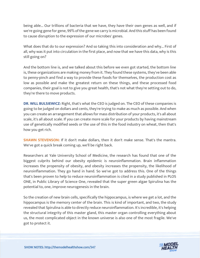being able... Our trillions of bacteria that we have, they have their own genes as well, and if we're going gene for gene, 99% of the gene we carry is microbial. And this stuff has been found to cause disruption to the expression of our microbes' genes.

What does that do to our expression? And so taking this into consideration and why... First of all, why was it put into circulation in the first place, and now that we have this data, why is this still going on?

And the bottom line is, and we talked about this before we even got started, the bottom line is, these organizations are making money from it. They found these systems, they've been able to penny-pinch and find a way to provide these foods for themselves, the production cost as low as possible and make the greatest return on these things, and these processed food companies, their goal is not to give you great health, that's not what they're setting out to do, they're there to move products.

**DR. WILL BULSIEWICZ:** Right, that's what the CEO is judged on. The CEO of these companies is going to be judged on dollars and cents, they're trying to make as much as possible. And when you can create an arrangement that allows for mass distribution of your products, it's all about scale, it's all about scale. If you can create more scale for your products by having mainstream use of genetically modified seeds or the use of this in the food industry on wheat, then that's how you get rich.

**SHAWN STEVENSON:** If it don't make dollars, then it don't make sense. That's the mantra. We've got a quick break coming up, we'll be right back.

Researchers at Yale University School of Medicine, the research has found that one of the biggest culprits behind our obesity epidemic is neuroinflammation. Brain inflammation increases the propensity of obesity, and obesity increases the propensity, the likelihood of neuroinflammation. They go hand in hand. So we've got to address this. One of the things that's been proven to help to reduce neuroinflammation is cited in a study published in PLOS ONE, in Public Library of Science One, revealed that the super green algae Spirulina has the potential to, one, improve neurogenesis in the brain.

So the creation of new brain cells, specifically the hippocampus, is where we get a lot, and the hippocampus is the memory center of the brain. This is kind of important, and two, the study revealed that Spirulina is able to directly reduce neuroinflammation. It's incredible, it's helping the structural integrity of this master gland, this master organ controlling everything about us, the most complicated object in the known universe is also one of the most fragile. We've got to protect it.

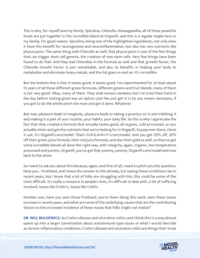This is why, for myself and my family, Spirulina, Chlorella, Ashwagandha, all of these powerful foods are put together in the incredible blend at Organifi, and this is a regular staple here in my family, for good reason. Spirulina, being one of the highlighted ingredients, not only does it have this benefit for neurogenesis and neuroinflammation, but also has rare nutrients like phycocyanin. The same thing with Chlorella as well, that phycocyanin is one of the few things that can trigger stem cell genesis, the creation of new stem cells. Very few things have been found to do that. And they had Chlorellas in the formula as well and that growth factor, the Chlorella Growth Factor is just remarkable, and also its benefits in helping your body to metabolize and eliminate heavy metals, and the list goes on and on. It's incredible.

But the bottom line is this: It tastes good. It tastes good. I've experimented for at least about 15 years of all these different green formulas, different greens and fruit blends, many of them is not very good. Okay, many of them. They shall remain nameless but I've tried them back in the day before tasting good was an option, just like just get it in by any means necessary, if you got to do the whole pinch the nose and get it done. Whatever.

But now, pleasure leads to longevity, pleasure leads to taking a practice on it and imbibing it and making it a part of your routine, your habits, your daily life. So this is why I appreciate the fact that they created a formula that actually tastes good, all organic, cold processed, so you actually retain and get the nutrients that we're looking for in Organifi. So pop over there, check it out, it's Organifi.com/model. That's O-R-G-A-N-I-F-I.com/model. And you get 20% off, 20% off their green juice formula, their red juice formula, and also their gold as well, so they've got some incredible blends all done the right way, with integrity, again, organic, low temperature processed and yummy. Organifi, you've got that yummy, yummy. Organifi.com/model and now back to the show.

So I want to ask you about this because, again, and first of all, I want to pitch you this question, have you... Firsthand, and I know the answer to this already, but seeing these conditions rise in recent years, but I know that a lot of folks are struggling with this, this could be some of the most difficult, it's really a nuisance in people's lives, it's difficult to deal with, a lot of suffering involved, issues like Crohn's, issues like Colitis.

Number one, have you seen those firsthand, you're there doing this work, seen these issues increase in recent years, and what are some of the underlying causes that are the contributing factors to the increased incidence of these issues that folks might not realize?

**DR. WILL BULSIEWICZ:** So Crohn's disease and ulcerative colitis, and I think this in a way almost opens up into a larger conversation about autoimmune type issues or what I would describe [as chronic inflammatory conditions. Crohn](https://themodelhealthshow.com/dr-will-bulsiewicz-gut-health/)'[s disease and ulcerative colitis are things that I treat](https://themodelhealthshow.com/dr-will-bulsiewicz-gut-health/) 

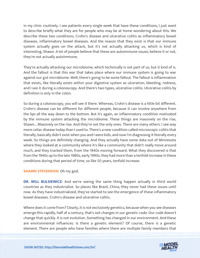in my clinic routinely. I see patients every single week that have these conditions, I just want to describe briefly what they are for people who may be at home wondering about this. We describe these two conditions, Crohn's disease and ulcerative colitis as inflammatory bowel diseases, inflammatory bowel diseases. And the reason that they exist is that our immune system actually goes on the attack, but it's not actually attacking us, which is kind of interesting, Shawn. A lot of people believe that these are autoimmune issues, believe it or not, they're not actually autoimmune.

They're actually attacking our microbiome, which technically is not part of us, but it kind of is. And the fallout is that this war that takes place where our immune system is going to war against our gut microbiome. Well, there's going to be some fallout. The fallout is inflammation that exists, like literally exists within your digestive system as ulceration, bleeding, redness, and I see it during a colonoscopy. And there's two types, ulcerative colitis. Ulcerative colitis by definition is only in the colon.

So during a colonoscopy, you will see it there. Whereas, Crohn's disease is a little bit different. Crohn's disease can be different for different people, because it can involve anywhere from the lips all the way down to the bottom. But it's again, an inflammatory condition motivated by the immune system attacking the microbiome. These things are massively on the rise, Shawn... Massively on the rise. And they're not the only ones. There are many others. I see way more celiac disease today than I used to. There's a new condition called microscopic colitis that literally, basically didn't exist when you and I were kids, and now I'm diagnosing it literally every week. So things are definitely changing. And they actually have some data out of Minnesota where they looked at a community where it's like a community that didn't really move around much, and they tracked them, from the 1940s moving forward. What they discovered is that from the 1940s up to the late 1980s, early 1990s, they had more than a tenfold increase in these conditions during that period of time, so like 50 years, tenfold increase.

# **SHAWN STEVENSON: Oh my god.**

**DR. WILL BULSIEWICZ:** And we're seeing the same thing happen actually in third world countries as they industrialize. So places like Brazil, China, they never had these issues until now. As they have industrialized, they've started to see the emergence of these inflammatory bowel diseases. Crohn's disease and ulcerative colitis.

Where does it come from? Clearly, it is not exclusively genetics, because when you see diseases emerge this rapidly, half of a century, that's not changes in our genetic code. Our code doesn't change that quickly. It is not evolution. Something has changed in our environment. And these are environmental influences. Is there a genetic element? Of course, there is a genetic [element. There are people who have families where there are multiple family members that](https://themodelhealthshow.com/dr-will-bulsiewicz-gut-health/) 

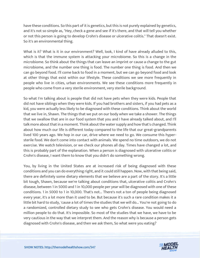have these conditions. So this part of it is genetics, but this is not purely explained by genetics, and it's not so simple as, "Hey, check a gene and see if it's there, and that will tell you whether or not this person is going to develop Crohn's disease or ulcerative colitis." That doesn't exist. So it's an environmental thing.

What is it? What is it in our environment? Well, look, I kind of have already alluded to this, which is that the immune system is attacking your microbiome. So this is a change in the microbiome. So think about the things that can leave an imprint or cause a change to the gut microbiome, and the number one thing is food. The number one thing is food. And then we can go beyond food. I'll come back to food in a moment, but we can go beyond food and look at other things that exist within our lifestyle. These conditions we see more frequently in people who live in cities, urban environments. We see these conditions more frequently in people who come from a very sterile environment, very sterile background.

So what I'm talking about is people that did not have pets when they were kids. People that did not have siblings when they were kids. If you had brothers and sisters, if you had pets as a kid, you were actually less likely to be diagnosed with these conditions. Think about the world that we live in, Shawn. The things that we put on our body when we take a shower. The things that we swallow that are in our food system that you and I have already talked about, and I'll talk more about that in a moment. Think about the water supply and how that's changed. Think about how much our life is different today compared to the life that our great-grandparents lived 100 years ago. We hop in our car, drive where we need to go. We consume this hypersterile food. We don't come into contact with animals. We spend no time outdoors, we do not exercise. We watch television, or we check our phones all day. Times have changed a lot, and this is probably part of the explanation. When a person is diagnosed with ulcerative colitis or Crohn's disease, I want them to know that you didn't do something wrong.

You, by living in the United States are at increased risk of being diagnosed with these conditions and you can do everything right, and it could still happen. Now, with that being said, there are definitely some dietary elements that we believe are a part of the story. It's a little bit tough, Shawn, because we're talking about conditions that, ulcerative colitis and Crohn's disease, between 1 in 5000 and 1 in 10,000 people per year will be diagnosed with one of these conditions. 1 in 5000 to 1 in 10,000. That's not... There's not a ton of people being diagnosed every year, it's a lot more than it used to be. But because it's such a rare condition makes it a little bit hard to study, 'cause a lot of times the studies that we will do... You're not going to do a randomized, controlled dietary study to see who gets Crohn's disease. You would need a million people to do that. It's impossible. So most of the studies that we have, we have to be very cautious in the way that we interpret them. And the reason why is because a person gets diagnosed with Crohn's disease, and then we ask them, So what were you eating?

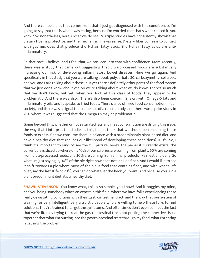And there can be a bias that comes from that. I just got diagnosed with this condition, so I'm going to say that this is what I was eating, because I'm worried that that's what caused it, you know? So nonetheless, here's what we do see. Multiple studies have consistently shown that dietary fiber is protective, and the mechanism makes sense. Dietary fiber comes into contact with gut microbes that produce short-chain fatty acids. Short-chain fatty acids are antiinflammatory.

So that part, I believe, and I feel that we can lean into that with confidence. More recently, there was a study that came out suggesting that ultra-processed foods are substantially increasing our risk of developing inflammatory bowel diseases. Here we go again. And specifically in that study that you were talking about, polysorbate 80, carboxymethyl cellulose, and you and I are talking about these, but yet there's definitely other parts of the food system that we just don't know about yet. So we're talking about what we do know. There's so much that we don't know, but yet, when you look at this class of foods, they appear to be problematic. And there was also... There's also been concern, Shawn, with Omega-6 fats and inflammatory oils, and it speaks to fried foods. There's a lot of fried food consumption in our society, and there was a signal that came out of a recent study, and there was a prior study in 2011 where it was suggested that the Omega-6s may be problematic.

Going beyond this, whether or not saturated fats and meat consumption are driving this issue, the way that I interpret the studies is this, I don't think that we should be consuming these foods to excess. Can we consume them in balance with a predominantly plant-based diet, and have a healthy diet that reduces our likelihood of developing these conditions? 100%. So, I think it's important to kind of see the full picture, here's the pie as it currently exists, the current pie is sliced up where only 10% of our calories are coming from plants, 60% are coming from ultra-processed foods, and 30% are coming from animal products like meat and dairy. So what I'm just saying is, 90% of the pie right now does not include fiber. And I would like to see it shift towards a pie where most of the pie is food that contains fiber, and with what's left over, say the last 10% or 20%, you can do whatever the heck you want. And because you run a plant predominant diet, it's a healthy diet.

**SHAWN STEVENSON:** You know what, this is so simple, you know? And it boggles my mind, and you being somebody who's an expert in this field, where we have folks experiencing these really devastating conditions with their gastrointestinal tract, and the way that our system of training for very intelligent, very altruistic people who are willing to help these folks to find solutions, they're trained to target the symptoms. And oftentimes don't even connect the fact that we're literally trying to treat the gastrointestinal tract, not putting the connective tissue together that what I'm putting into the gastrointestinal tract through my food, what I'm eating is causing the problem.

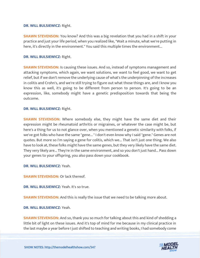#### **DR. WILL BULSIEWICZ:** Right.

**SHAWN STEVENSON:** You know? And this was a big revelation that you had in a shift in your practice and just your life period, when you realized like, "Wait a minute, what we're putting in here, it's directly in the environment." You said this multiple times the environment...

#### **DR. WILL BULSIEWICZ:** Right.

**SHAWN STEVENSON:** Is causing these issues. And so, instead of symptoms management and attacking symptoms, which again, we want solutions, we want to feel good, we want to get relief, but if we don't remove the underlying cause of what's the underpinning of the increases in colitis and Crohn's, and we're still trying to figure out what those things are, and I know you know this as well, it's going to be different from person to person. It's going to be an expression, like, somebody might have a genetic predisposition towards that being the outcome.

#### **DR. WILL BULSIEWICZ:** Right.

**SHAWN STEVENSON:** Where somebody else, they might have the same diet and their expression might be rheumatoid arthritis or migraines, or whatever the case might be, but here's a thing for us to not glance over, when you mentioned a genetic similarity with folks, if we've got folks who have the same "gene... " I don't even know why I said "gene." Genes are not quotes. But more so I'm saying a gene for colitis, which we... That isn't just one thing. We also have to look at, these folks might have the same genes, but they very likely have the same diet. They very likely are... They're in the same environment, and so you don't just hand... Pass down your genes to your offspring, you also pass down your cookbook.

#### **DR. WILL BULSIEWICZ:** Yeah.

**SHAWN STEVENSON:** Or lack thereof.

**DR. WILL BULSIEWICZ:** Yeah. It's so true.

**SHAWN STEVENSON:** And this is really the issue that we need to be talking more about.

#### **DR. WILL BULSIEWICZ:** Yeah.

**SHAWN STEVENSON:** And so, thank you so much for talking about this and kind of shedding a little bit of light on these issues. And it's top of mind for me because in my clinical practice in [the last maybe a year before I just shifted to teaching and writing books, I had somebody come](https://themodelhealthshow.com/dr-will-bulsiewicz-gut-health/) 

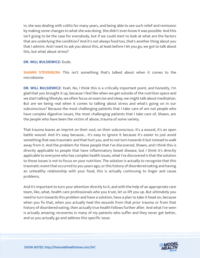in, she was dealing with colitis for many years, and being able to see such relief and remission by making some changes to what she was doing. She didn't even know it was possible. And this isn't going to be the case for everybody, but if we could start to look at what are the factors that are underlying the condition? And it's not always food too, that's another thing about you that I admire. And I want to ask you about this, at least before I let you go, we got to talk about this, but what about stress?

# **DR. WILL BULSIEWICZ:** Dude.

**SHAWN STEVENSON:** This isn't something that's talked about when it comes to the microbiome.

**DR. WILL BULSIEWICZ:** Yeah. No, I think this is a critically important point, and honestly, I'm glad that you brought it up, because I feel like when we get outside of the nutrition space and we start talking lifestyle, we often focus on exercise and sleep, we might talk about meditation. But are we being real when it comes to talking about stress and what's going on in our subconscious? Because the most challenging patients that I take care of are not people who have complex digestive issues, the most challenging patients that I take care of, Shawn, are the people who have been the victim of abuse, trauma of some variety.

That trauma leaves an imprint on their soul, on their subconscious. It's a wound, it's an open battle wound. And it's easy because... It's easy to ignore it because it's easier to just avoid something that was traumatic and that hurt you, and to not turn towards it but instead to walk away from it. And the problem for these people that I've discovered, Shawn, and I think this is directly applicable to people that have inflammatory bowel disease, but I think it's directly applicable to everyone who has complex health issues, what I've discovered is that the solution to those issues is not to focus on your nutrition. The solution is actually to recognize that this traumatic event that occurred to you years ago, or this history of disordered eating and having an unhealthy relationship with your food, this is actually continuing to linger and cause problems.

And it's important to turn your attention directly to it, and with the help of an appropriate care team, like, what, health care professionals who you trust, let us lift you up. But ultimately you need to turn towards this problem and have a solution, have a plan to take it head on, because when you fix that, when you actually heal the wounds from that prior trauma or from that history of disordered eating, then actually true health follows further after. And what I've seen is actually amazing recoveries in many of my patients who suffer and they never get better, and so you actually go and address this specific issue.

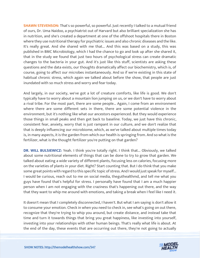**SHAWN STEVENSON:** That's so powerful, so powerful. Just recently I talked to a mutual friend of ours, Dr. Uma Naidoo, a psychiatrist out of Harvard but also brilliant specialization she has in nutrition, and she's created a department at one of the offshoot hospitals there in Boston where they use nutritional therapy for psychiatric issues and also chronic diseases and the like. It's really great. And she shared with me that... And this was based on a study, this was published in BMC Microbiology, which I had the chance to go and look up after she shared it, that in the study we found that just two hours of psychological stress can create dramatic changes to the bacteria in your gut. And it's just like this stuff, scientists are asking these questions and the data exists, our thoughts dramatically affect our biochemistry, which is, of course, going to affect our microbes instantaneously. And so if we're existing in this state of habitual chronic stress, which again we talked about before the show, that people are just inundated with so much stress and worry and fear today.

And largely, in our society, we've got a lot of creature comforts, like life is good. We don't typically have to worry about a mountain lion jumping on us, or we don't have to worry about a rival tribe. For the most part, there are some people... Again, I come from an environment where there are some different sets in there, there are some potential violence in the environment, but it's nothing like what our ancestors experienced. But they would experience those things in small peaks and then get back to baseline. Today, we just have this chronic, consistent fear, anxiety, worry that is just rampant in our culture, and we don't realize that that is deeply influencing our microbiome, which, as we've talked about multiple times today is, in many aspects, it is the garden from which our health is springing from. And so what is the fertilizer, what is the thought fertilizer you're putting on that garden?

**DR. WILL BULSIEWICZ:** Yeah. I think you're totally right. I think that... Obviously, we talked about some nutritional elements of things that can be done to try to grow that garden. We talked about eating a wide variety of different plants, focusing less on calories, focusing more on the varieties of plants in your diet. Right? Start counting that. But I do think that you make some great points with regard to this specific topic of stress. And I would just speak for myself... I would be curious, reach out to me on social media, theguthealthmd, and tell me what you guys have found that's helpful for stress. I personally have found that I am a much happier person when I am not engaging with the craziness that's happening out there, and the way that they want to whip me around with emotions, and taking a break when I feel like I need it.

It doesn't mean that I completely disconnected, I haven't. But what I am saying is don't allow it to consume your emotion. Check in when you need to check in, see what's going on out there, recognize that they're trying to whip you around, but create distance, and instead take that time and turn it towards things that bring you great happiness, like investing into yourself, investing into your relationships with other human beings. That's really what life is about. At [the end of the day, these events that are occurring out there, they](https://themodelhealthshow.com/dr-will-bulsiewicz-gut-health/)'[re not going to actually](https://themodelhealthshow.com/dr-will-bulsiewicz-gut-health/)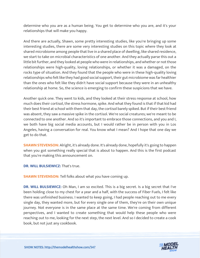determine who you are as a human being. You get to determine who you are, and it's your relationships that will make you happy.

And there are actually, Shawn, some pretty interesting studies, like you're bringing up some interesting studies, there are some very interesting studies on this topic where they look at shared microbiome among people that live in a shared place of dwelling, like shared residence, we start to take on microbial characteristics of one another. And they actually parse this out a little bit further, and they looked at people who were in relationships, and whether or not those relationships were high-quality, loving relationships, or whether it was a damaged, on the rocks type of situation. And they found that the people who were in these high-quality loving relationships who felt like they had good social support, their gut microbiome was far healthier than the ones who felt like they didn't have social support because they were in an unhealthy relationship at home. So, the science is emerging to confirm these suspicions that we have.

Another quick one. They went to kids, and they looked at their stress response at school, how much does their cortisol, the stress hormone, spike. And what they found is that if that kid had their best friend at school with them that day, the cortisol barely spiked. But if their best friend was absent, they saw a massive spike in the cortisol. We're social creatures; we're meant to be connected to one another. And so it's important to embrace those connections, and you and I, we both have big social media accounts, but I would rather be in person with you in Los Angeles, having a conversation for real. You know what I mean? And I hope that one day we get to do that.

**SHAWN STEVENSON:** Alright, it's already done. It's already done, hopefully it's going to happen when you got something really special that is about to happen. And this is the first podcast that you're making this announcement on.

**DR. WILL BULSIEWICZ:** That's true.

**SHAWN STEVENSON: Tell folks about what you have coming up.** 

**DR. WILL BULSIEWICZ:** Oh Man, I am so excited. This is a big secret. Is a big secret that I've been holding close to my chest for a year and a half, with the success of Fiber Fuels, I felt like there was unfinished business. I wanted to keep going, I had people reaching out to me every single day, they wanted more, but for every single one of them, they're on their own unique journey. Not everyone is in the same place at the same time. We're coming from different perspectives, and I wanted to create something that would help these people who were reaching out to me, looking for the next step, the next level. And so I decided to create a cook book, but not just any cookbook.

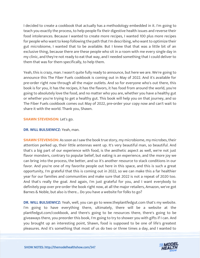I decided to create a cookbook that actually has a methodology embedded in it. I'm going to teach you exactly the process, to help people fix their digestive health issues and reverse their food intolerances. Because I wanted to create more recipes, I wanted 100 plus more recipes for people who want to keep following the path that I'm describing, who want to optimize their gut microbiome, I wanted that to be available. But I knew that that was a little bit of an exclusive thing, because there are these people who sit in a room with me every single day in my clinic, and they're not ready to eat that way, and I needed something that I could deliver to them that was for them specifically, to help them.

Yeah, this is crazy, man. I wasn't quite fully ready to announce, but here we are. We're going to announce this The Fiber Fuels cookbook is coming out in May of 2022. And it's available for pre-order right now through all the major outlets. And so for everyone who's out there, this book is for you, it has the recipes, it has the flavors, it has food from around the world, you're going to absolutely love the food, and no matter who you are, whether you have a healthy gut or whether you're trying to get a healthy gut. This book will help you on that journey, and so The Fiber Fuels cookbook comes out May of 2022, pre-order your copy now and can't wait to share it with the world. Thank you, Shawn.

# **SHAWN STEVENSON: Let's go.**

# **DR. WILL BULSIEWICZ:** Yeah, man.

**SHAWN STEVENSON:** As soon as I saw the book true story, my microbiome, my microbes, their attention perked up, their little antennas went up. It's very beautiful man, so beautiful. And that's a big part of our experience with food, is the aesthetic aspect as well, we're not just flavor monsters, contrary to popular belief, but eating is an experience, and the more joy we can bring into the process, the better, and so it's another resource to stack conditions in our favor. And you're one of my favorite people out here in this space, and this is such a great opportunity, I'm grateful that this is coming out in 2022, so we can make this a far healthier year for our families and communities and make sure that 2022 is not a repeat of 2020 too. And that's really the goal. And again, I'm just grateful for you, and I want everybody to definitely pop over pre-order the book right now, at all the major retailers, Amazon, we've got Barnes & Noble, but also is there... Do you have a website for folks to go?

**DR. WILL BULSIEWICZ:** Yeah, well, you can go to www.theplantfedgut.com that's my website. I'm going to have everything there, ultimately, there will be a website at the plantfedgut.com/cookbook, and there's going to be resources there, there's going to be giveaways there, you preorder this book, I'm going to try to shower you with gifts if I can. And you brought up an interesting point, Shawn, food is supposed to be one of life's greatest [pleasures. And it](https://themodelhealthshow.com/dr-will-bulsiewicz-gut-health/)'[s something that most of us do two or three times a day, and I wanted to](https://themodelhealthshow.com/dr-will-bulsiewicz-gut-health/)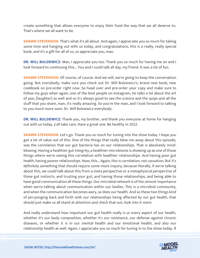create something that allows everyone to enjoy their food the way that we all deserve to. That's where we all want to be.

**SHAWN STEVENSON:** That's what it's all about. And again, I appreciate you so much for taking some time and hanging out with us today, and congratulations, this is a really, really special book, and it's a gift for all of us, so appreciate you, man.

**DR. WILL BULSIEWICZ:** Man, I appreciate you too. Thank you so much for having me on and I look forward to continuing this... You and I could talk all day, my friend. It was a lot of fun.

**SHAWN STEVENSON:** Of course, of course. And we will, we're going to keep the conversation going. But everybody, make sure you check out Dr. Will Bulsiewicz's, brand new book, new cookbook on pre-order right now. So head over and pre-order your copy and make sure to follow my guys when again, one of the best people on Instagram, he talks a lot about the art of poo, [laughter] as well and so it's always good to see the science and the quips and all the stuff that you share, man, it's really amazing. So you're the man, and I look forward to talking to you much more soon. Dr. Will Bulsiewicz everybody.

**DR. WILL BULSIEWICZ:** Thank you, my brother, and thank you everyone at home for hanging out with us today, y'all take care. Have a great one. Be healthy in 2022.

**SHAWN STEVENSON:** Let's go. Thank you so much for tuning into the show today. I hope you got a lot of value out of this. One of the things that really blew me away about this episode, was the correlation that our gut bacteria has on our relationships. That is absolutely mindblowing. Having a healthier gut integrity, a healthier microbiome is showing up as one of those things where we're seeing this correlation with healthier relationships. And having poor gut health, having poorer relationships. Now, this... Again, this is correlation, not causation. But it's definitely something that should require some more inquiry, because literally, if we're talking about this, we could talk about this from a meta perspective or a metaphysical perspective of those gut instincts, and trusting your gut, and having those relationships, and being able to have good communication all these things. Our microbial network is of the utmost importance when we're talking about communication within our bodies. This is a microbial community, and when the communication becomes awry, so does our health. And so these two things kind of pin-ponging back and forth with our relationships being affected by our gut health, that should just make us all stand at attention and check that out, look into it more.

And really understand how important our gut health really is or every aspect of our health, whether it's our body composition, whether it's our resistance, our defense against chronic diseases, or whether it is in our mental health and our emotional health, and also our [relationship health as well. Again, I appreciate you so much for tuning in to the show today. If](https://themodelhealthshow.com/dr-will-bulsiewicz-gut-health/)